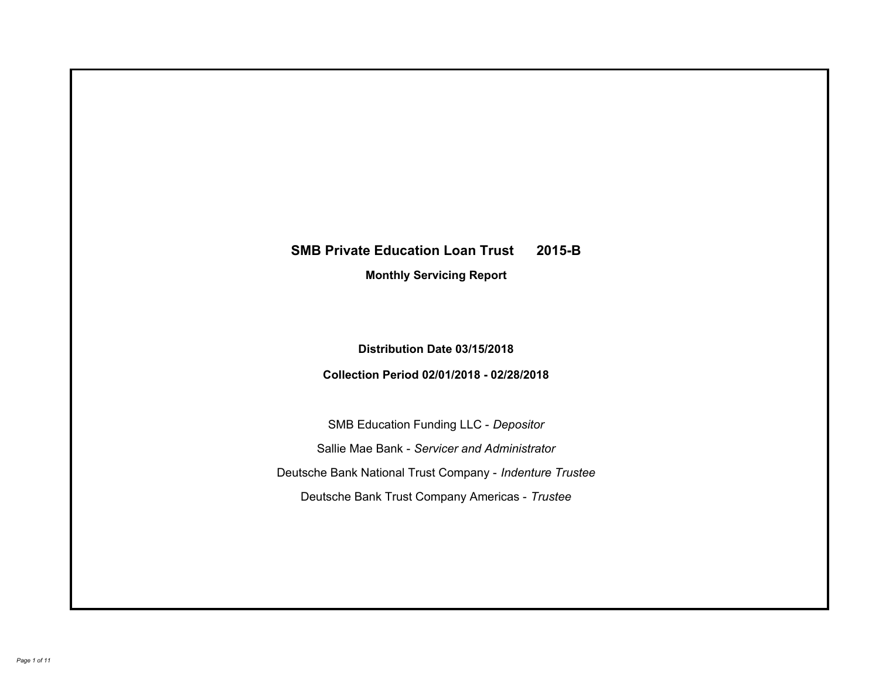# **SMB Private Education Loan Trust 2015-B Monthly Servicing Report**

## **Distribution Date 03/15/2018**

## **Collection Period 02/01/2018 - 02/28/2018**

SMB Education Funding LLC - *Depositor* Sallie Mae Bank - *Servicer and Administrator* Deutsche Bank National Trust Company - *Indenture Trustee* Deutsche Bank Trust Company Americas - *Trustee*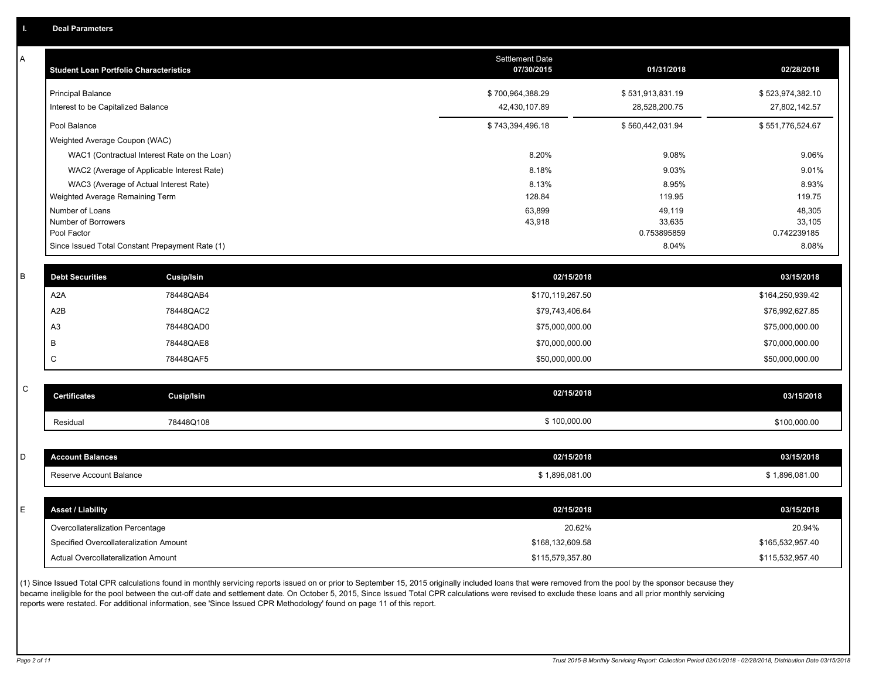A

| Α | <b>Student Loan Portfolio Characteristics</b>   |                                              | Settlement Date<br>07/30/2015 | 01/31/2018            | 02/28/2018            |
|---|-------------------------------------------------|----------------------------------------------|-------------------------------|-----------------------|-----------------------|
|   | <b>Principal Balance</b>                        |                                              | \$700,964,388.29              | \$531,913,831.19      | \$523,974,382.10      |
|   | Interest to be Capitalized Balance              |                                              | 42,430,107.89                 | 28,528,200.75         | 27,802,142.57         |
|   | Pool Balance                                    |                                              | \$743,394,496.18              | \$560,442,031.94      | \$551,776,524.67      |
|   | Weighted Average Coupon (WAC)                   |                                              |                               |                       |                       |
|   |                                                 | WAC1 (Contractual Interest Rate on the Loan) | 8.20%                         | 9.08%                 | 9.06%                 |
|   |                                                 | WAC2 (Average of Applicable Interest Rate)   | 8.18%                         | 9.03%                 | 9.01%                 |
|   | WAC3 (Average of Actual Interest Rate)          |                                              | 8.13%                         | 8.95%                 | 8.93%                 |
|   | Weighted Average Remaining Term                 |                                              | 128.84                        | 119.95                | 119.75                |
|   | Number of Loans                                 |                                              | 63,899                        | 49,119                | 48,305                |
|   | Number of Borrowers<br>Pool Factor              |                                              | 43,918                        | 33,635<br>0.753895859 | 33,105<br>0.742239185 |
|   | Since Issued Total Constant Prepayment Rate (1) |                                              |                               | 8.04%                 | 8.08%                 |
|   |                                                 |                                              |                               |                       |                       |
| B | <b>Debt Securities</b>                          | Cusip/Isin                                   | 02/15/2018                    |                       | 03/15/2018            |
|   | A2A                                             | 78448QAB4                                    | \$170,119,267.50              |                       | \$164,250,939.42      |
|   | A2B                                             | 78448QAC2                                    | \$79,743,406.64               |                       | \$76,992,627.85       |
|   | A <sub>3</sub>                                  | 78448QAD0                                    | \$75,000,000.00               |                       | \$75,000,000.00       |
|   | B                                               | 78448QAE8                                    | \$70,000,000.00               |                       | \$70,000,000.00       |
|   | $\mathsf{C}$                                    | 78448QAF5                                    | \$50,000,000.00               |                       | \$50,000,000.00       |
|   |                                                 |                                              |                               |                       |                       |
| C | <b>Certificates</b>                             | <b>Cusip/Isin</b>                            | 02/15/2018                    |                       | 03/15/2018            |
|   | Residual                                        | 78448Q108                                    | \$100,000.00                  |                       | \$100,000.00          |
|   |                                                 |                                              |                               |                       |                       |
| D | <b>Account Balances</b>                         |                                              | 02/15/2018                    |                       | 03/15/2018            |
|   | Reserve Account Balance                         |                                              | \$1,896,081.00                |                       | \$1,896,081.00        |
|   |                                                 |                                              |                               |                       |                       |
| E | <b>Asset / Liability</b>                        |                                              | 02/15/2018                    |                       | 03/15/2018            |
|   | Overcollateralization Percentage                |                                              | 20.62%                        |                       | 20.94%                |
|   | Specified Overcollateralization Amount          |                                              | \$168,132,609.58              |                       | \$165,532,957.40      |
|   | Actual Overcollateralization Amount             |                                              | \$115,579,357.80              |                       | \$115,532,957.40      |
|   |                                                 |                                              |                               |                       |                       |

(1) Since Issued Total CPR calculations found in monthly servicing reports issued on or prior to September 15, 2015 originally included loans that were removed from the pool by the sponsor because they became ineligible for the pool between the cut-off date and settlement date. On October 5, 2015, Since Issued Total CPR calculations were revised to exclude these loans and all prior monthly servicing reports were restated. For additional information, see 'Since Issued CPR Methodology' found on page 11 of this report.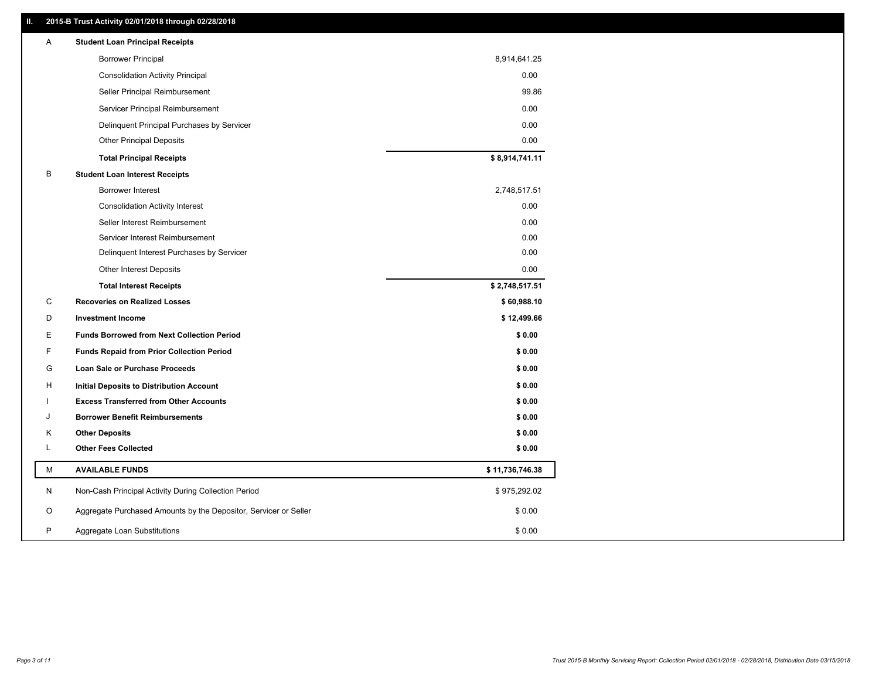#### **II. 2015-B Trust Activity 02/01/2018 through 02/28/2018**

| Α | <b>Student Loan Principal Receipts</b>                           |                 |
|---|------------------------------------------------------------------|-----------------|
|   | <b>Borrower Principal</b>                                        | 8,914,641.25    |
|   | <b>Consolidation Activity Principal</b>                          | 0.00            |
|   | Seller Principal Reimbursement                                   | 99.86           |
|   | Servicer Principal Reimbursement                                 | 0.00            |
|   | Delinquent Principal Purchases by Servicer                       | 0.00            |
|   | <b>Other Principal Deposits</b>                                  | 0.00            |
|   | <b>Total Principal Receipts</b>                                  | \$8,914,741.11  |
| B | <b>Student Loan Interest Receipts</b>                            |                 |
|   | Borrower Interest                                                | 2,748,517.51    |
|   | <b>Consolidation Activity Interest</b>                           | 0.00            |
|   | Seller Interest Reimbursement                                    | 0.00            |
|   | Servicer Interest Reimbursement                                  | 0.00            |
|   | Delinquent Interest Purchases by Servicer                        | 0.00            |
|   | <b>Other Interest Deposits</b>                                   | 0.00            |
|   | <b>Total Interest Receipts</b>                                   | \$2,748,517.51  |
| C | <b>Recoveries on Realized Losses</b>                             | \$60,988.10     |
| D | <b>Investment Income</b>                                         | \$12,499.66     |
| Е | <b>Funds Borrowed from Next Collection Period</b>                | \$0.00          |
| F | <b>Funds Repaid from Prior Collection Period</b>                 | \$0.00          |
| G | Loan Sale or Purchase Proceeds                                   | \$0.00          |
| H | Initial Deposits to Distribution Account                         | \$0.00          |
|   | <b>Excess Transferred from Other Accounts</b>                    | \$0.00          |
| J | <b>Borrower Benefit Reimbursements</b>                           | \$0.00          |
| Κ | <b>Other Deposits</b>                                            | \$0.00          |
| Г | <b>Other Fees Collected</b>                                      | \$0.00          |
| м | <b>AVAILABLE FUNDS</b>                                           | \$11,736,746.38 |
| N | Non-Cash Principal Activity During Collection Period             | \$975,292.02    |
| O | Aggregate Purchased Amounts by the Depositor, Servicer or Seller | \$0.00          |
| P | Aggregate Loan Substitutions                                     | \$0.00          |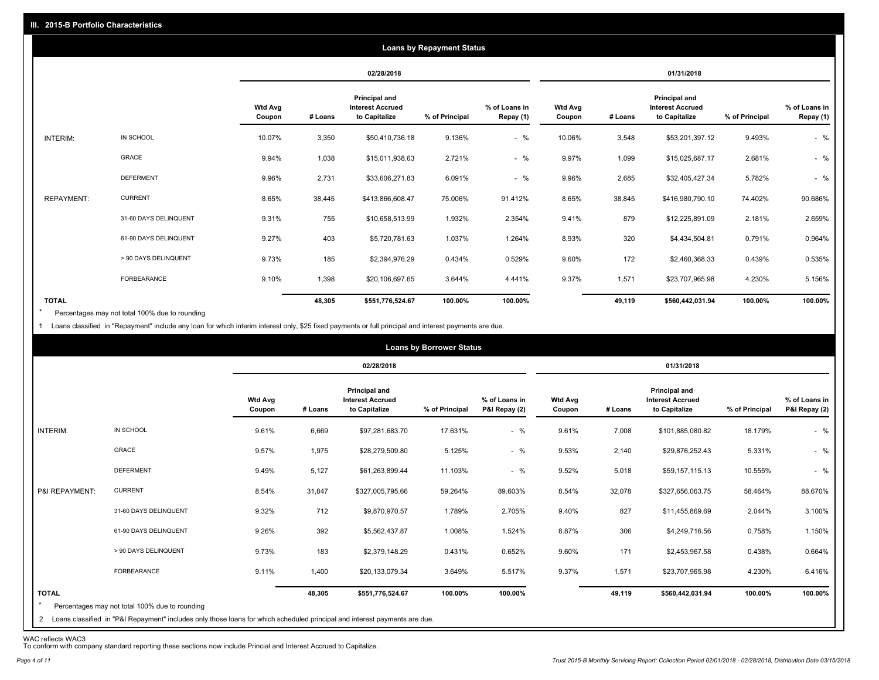|                   |                       |                          |         |                                                           | <b>Loans by Repayment Status</b> |                            |                          |         |                                                           |                |                            |
|-------------------|-----------------------|--------------------------|---------|-----------------------------------------------------------|----------------------------------|----------------------------|--------------------------|---------|-----------------------------------------------------------|----------------|----------------------------|
|                   |                       |                          |         | 02/28/2018                                                |                                  |                            |                          |         | 01/31/2018                                                |                |                            |
|                   |                       | <b>Wtd Avg</b><br>Coupon | # Loans | Principal and<br><b>Interest Accrued</b><br>to Capitalize | % of Principal                   | % of Loans in<br>Repay (1) | <b>Wtd Avg</b><br>Coupon | # Loans | Principal and<br><b>Interest Accrued</b><br>to Capitalize | % of Principal | % of Loans in<br>Repay (1) |
| INTERIM:          | IN SCHOOL             | 10.07%                   | 3,350   | \$50,410,736.18                                           | 9.136%                           | $-$ %                      | 10.06%                   | 3,548   | \$53,201,397.12                                           | 9.493%         | $-$ %                      |
|                   | GRACE                 | 9.94%                    | 1,038   | \$15,011,938.63                                           | 2.721%                           | $-$ %                      | 9.97%                    | 1,099   | \$15,025,687.17                                           | 2.681%         | $-$ %                      |
|                   | <b>DEFERMENT</b>      | 9.96%                    | 2,731   | \$33,606,271.83                                           | 6.091%                           | $-$ %                      | 9.96%                    | 2,685   | \$32,405,427.34                                           | 5.782%         | $-$ %                      |
| <b>REPAYMENT:</b> | <b>CURRENT</b>        | 8.65%                    | 38,445  | \$413,866,608.47                                          | 75.006%                          | 91.412%                    | 8.65%                    | 38,845  | \$416,980,790.10                                          | 74.402%        | 90.686%                    |
|                   | 31-60 DAYS DELINQUENT | 9.31%                    | 755     | \$10,658,513.99                                           | 1.932%                           | 2.354%                     | 9.41%                    | 879     | \$12,225,891.09                                           | 2.181%         | 2.659%                     |
|                   | 61-90 DAYS DELINQUENT | 9.27%                    | 403     | \$5,720,781.63                                            | 1.037%                           | 1.264%                     | 8.93%                    | 320     | \$4,434,504.81                                            | 0.791%         | 0.964%                     |
|                   | > 90 DAYS DELINQUENT  | 9.73%                    | 185     | \$2,394,976.29                                            | 0.434%                           | 0.529%                     | 9.60%                    | 172     | \$2,460,368.33                                            | 0.439%         | 0.535%                     |
|                   | FORBEARANCE           | 9.10%                    | 1,398   | \$20,106,697.65                                           | 3.644%                           | 4.441%                     | 9.37%                    | 1,571   | \$23,707,965.98                                           | 4.230%         | 5.156%                     |
| <b>TOTAL</b>      |                       |                          | 48,305  | \$551,776,524.67                                          | 100.00%                          | 100.00%                    |                          | 49,119  | \$560,442,031.94                                          | 100.00%        | 100.00%                    |

Percentages may not total 100% due to rounding \*

1 Loans classified in "Repayment" include any loan for which interim interest only, \$25 fixed payments or full principal and interest payments are due.

|                         |                                                                                                                                                                                |                          |         |                                                           | <b>Loans by Borrower Status</b> |                                |                          |         |                                                                  |                |                                |
|-------------------------|--------------------------------------------------------------------------------------------------------------------------------------------------------------------------------|--------------------------|---------|-----------------------------------------------------------|---------------------------------|--------------------------------|--------------------------|---------|------------------------------------------------------------------|----------------|--------------------------------|
|                         |                                                                                                                                                                                |                          |         | 02/28/2018                                                |                                 |                                |                          |         | 01/31/2018                                                       |                |                                |
|                         |                                                                                                                                                                                | <b>Wtd Avg</b><br>Coupon | # Loans | Principal and<br><b>Interest Accrued</b><br>to Capitalize | % of Principal                  | % of Loans in<br>P&I Repay (2) | <b>Wtd Avg</b><br>Coupon | # Loans | <b>Principal and</b><br><b>Interest Accrued</b><br>to Capitalize | % of Principal | % of Loans in<br>P&I Repay (2) |
| INTERIM:                | IN SCHOOL                                                                                                                                                                      | 9.61%                    | 6,669   | \$97,281,683.70                                           | 17.631%                         | $-$ %                          | 9.61%                    | 7,008   | \$101,885,080.82                                                 | 18.179%        | $-$ %                          |
|                         | GRACE                                                                                                                                                                          | 9.57%                    | 1,975   | \$28,279,509.80                                           | 5.125%                          | $-$ %                          | 9.53%                    | 2,140   | \$29,876,252.43                                                  | 5.331%         | $-$ %                          |
|                         | <b>DEFERMENT</b>                                                                                                                                                               | 9.49%                    | 5,127   | \$61,263,899.44                                           | 11.103%                         | $-$ %                          | 9.52%                    | 5,018   | \$59,157,115.13                                                  | 10.555%        | $-$ %                          |
| P&I REPAYMENT:          | <b>CURRENT</b>                                                                                                                                                                 | 8.54%                    | 31,847  | \$327,005,795.66                                          | 59.264%                         | 89.603%                        | 8.54%                    | 32,078  | \$327,656,063.75                                                 | 58.464%        | 88.670%                        |
|                         | 31-60 DAYS DELINQUENT                                                                                                                                                          | 9.32%                    | 712     | \$9,870,970.57                                            | 1.789%                          | 2.705%                         | 9.40%                    | 827     | \$11,455,869.69                                                  | 2.044%         | 3.100%                         |
|                         | 61-90 DAYS DELINQUENT                                                                                                                                                          | 9.26%                    | 392     | \$5,562,437.87                                            | 1.008%                          | 1.524%                         | 8.87%                    | 306     | \$4,249,716.56                                                   | 0.758%         | 1.150%                         |
|                         | > 90 DAYS DELINQUENT                                                                                                                                                           | 9.73%                    | 183     | \$2,379,148.29                                            | 0.431%                          | 0.652%                         | 9.60%                    | 171     | \$2,453,967.58                                                   | 0.438%         | 0.664%                         |
|                         | FORBEARANCE                                                                                                                                                                    | 9.11%                    | 1,400   | \$20,133,079.34                                           | 3.649%                          | 5.517%                         | 9.37%                    | 1,571   | \$23,707,965.98                                                  | 4.230%         | 6.416%                         |
| <b>TOTAL</b><br>$\star$ | Percentages may not total 100% due to rounding<br>2 Loans classified in "P&I Repayment" includes only those loans for which scheduled principal and interest payments are due. |                          | 48,305  | \$551,776,524.67                                          | 100.00%                         | 100.00%                        |                          | 49,119  | \$560,442,031.94                                                 | 100.00%        | 100.00%                        |

WAC reflects WAC3 To conform with company standard reporting these sections now include Princial and Interest Accrued to Capitalize.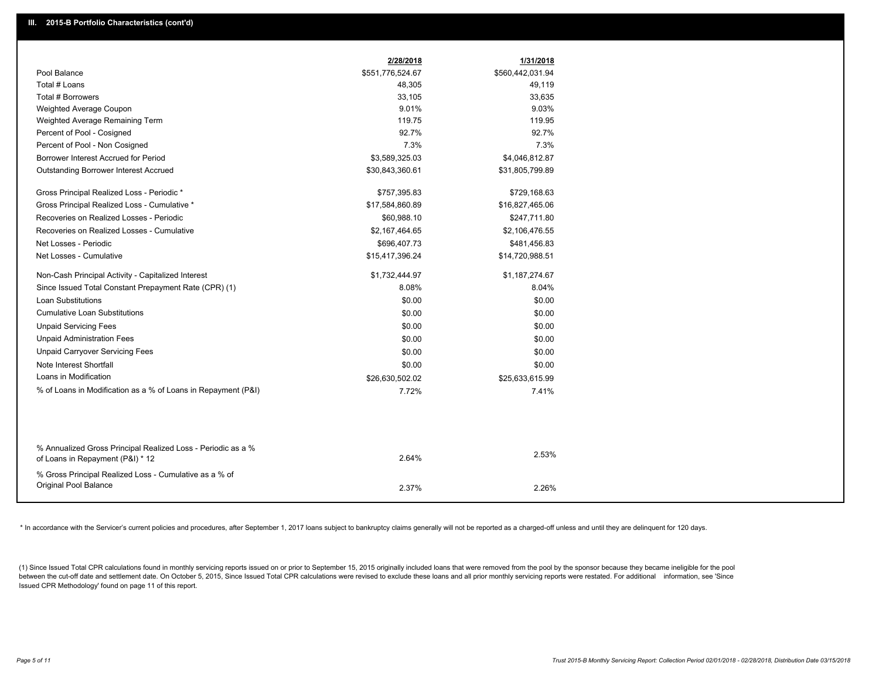| \$551,776,524.67<br>\$560,442,031.94<br>Pool Balance<br>Total # Loans<br>49,119<br>48,305<br>Total # Borrowers<br>33,105<br>33,635<br>9.01%<br>9.03%<br>Weighted Average Coupon<br>Weighted Average Remaining Term<br>119.75<br>119.95<br>92.7%<br>92.7%<br>Percent of Pool - Cosigned |
|----------------------------------------------------------------------------------------------------------------------------------------------------------------------------------------------------------------------------------------------------------------------------------------|
|                                                                                                                                                                                                                                                                                        |
|                                                                                                                                                                                                                                                                                        |
|                                                                                                                                                                                                                                                                                        |
|                                                                                                                                                                                                                                                                                        |
|                                                                                                                                                                                                                                                                                        |
|                                                                                                                                                                                                                                                                                        |
| 7.3%<br>7.3%<br>Percent of Pool - Non Cosigned                                                                                                                                                                                                                                         |
| Borrower Interest Accrued for Period<br>\$3,589,325.03<br>\$4,046,812.87                                                                                                                                                                                                               |
| <b>Outstanding Borrower Interest Accrued</b><br>\$30,843,360.61<br>\$31,805,799.89                                                                                                                                                                                                     |
| Gross Principal Realized Loss - Periodic *<br>\$757,395.83<br>\$729,168.63                                                                                                                                                                                                             |
| Gross Principal Realized Loss - Cumulative *<br>\$17,584,860.89<br>\$16,827,465.06                                                                                                                                                                                                     |
| Recoveries on Realized Losses - Periodic<br>\$60,988.10<br>\$247,711.80                                                                                                                                                                                                                |
| Recoveries on Realized Losses - Cumulative<br>\$2,167,464.65<br>\$2,106,476.55                                                                                                                                                                                                         |
| Net Losses - Periodic<br>\$696,407.73<br>\$481,456.83                                                                                                                                                                                                                                  |
| Net Losses - Cumulative<br>\$15,417,396.24<br>\$14,720,988.51                                                                                                                                                                                                                          |
| Non-Cash Principal Activity - Capitalized Interest<br>\$1,732,444.97<br>\$1,187,274.67                                                                                                                                                                                                 |
| 8.08%<br>Since Issued Total Constant Prepayment Rate (CPR) (1)<br>8.04%                                                                                                                                                                                                                |
| <b>Loan Substitutions</b><br>\$0.00<br>\$0.00                                                                                                                                                                                                                                          |
| <b>Cumulative Loan Substitutions</b><br>\$0.00<br>\$0.00                                                                                                                                                                                                                               |
| <b>Unpaid Servicing Fees</b><br>\$0.00<br>\$0.00                                                                                                                                                                                                                                       |
| <b>Unpaid Administration Fees</b><br>\$0.00<br>\$0.00                                                                                                                                                                                                                                  |
| <b>Unpaid Carryover Servicing Fees</b><br>\$0.00<br>\$0.00                                                                                                                                                                                                                             |
| Note Interest Shortfall<br>\$0.00<br>\$0.00                                                                                                                                                                                                                                            |
| Loans in Modification<br>\$26,630,502.02<br>\$25,633,615.99                                                                                                                                                                                                                            |
| % of Loans in Modification as a % of Loans in Repayment (P&I)<br>7.72%<br>7.41%                                                                                                                                                                                                        |
|                                                                                                                                                                                                                                                                                        |
| % Annualized Gross Principal Realized Loss - Periodic as a %<br>2.53%<br>2.64%<br>of Loans in Repayment (P&I) * 12                                                                                                                                                                     |
| % Gross Principal Realized Loss - Cumulative as a % of                                                                                                                                                                                                                                 |
| Original Pool Balance<br>2.37%<br>2.26%                                                                                                                                                                                                                                                |

\* In accordance with the Servicer's current policies and procedures, after September 1, 2017 loans subject to bankruptcy claims generally will not be reported as a charged-off unless and until they are delinquent for 120 d

(1) Since Issued Total CPR calculations found in monthly servicing reports issued on or prior to September 15, 2015 originally included loans that were removed from the pool by the sponsor because they became ineligible fo between the cut-off date and settlement date. On October 5, 2015, Since Issued Total CPR calculations were revised to exclude these loans and all prior monthly servicing reports were restated. For additional information, s Issued CPR Methodology' found on page 11 of this report.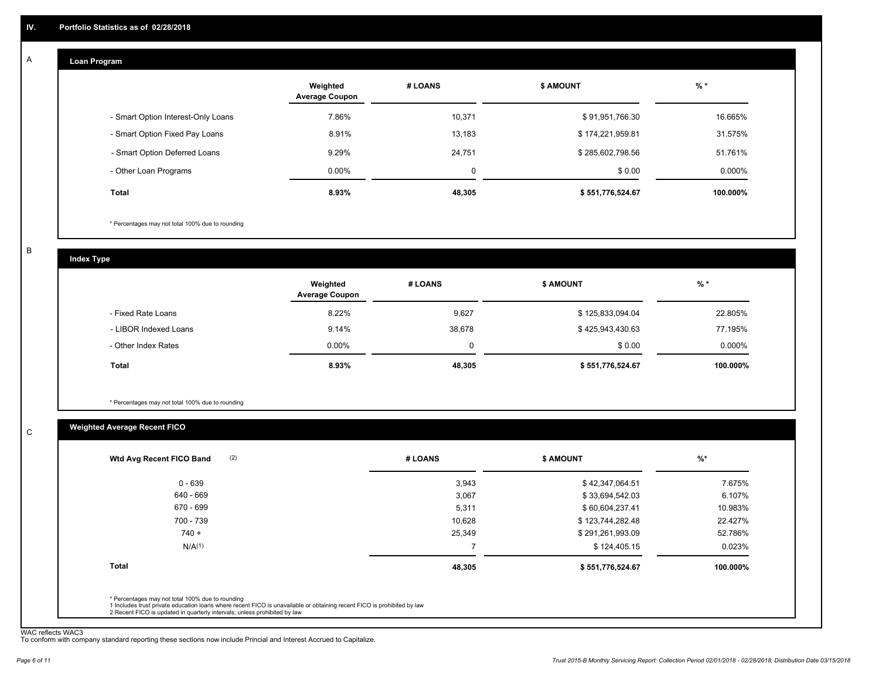#### **Loan Program**  A

|                                    | Weighted<br><b>Average Coupon</b> | # LOANS | <b>\$ AMOUNT</b> | $%$ *     |
|------------------------------------|-----------------------------------|---------|------------------|-----------|
| - Smart Option Interest-Only Loans | 7.86%                             | 10,371  | \$91,951,766.30  | 16.665%   |
| - Smart Option Fixed Pay Loans     | 8.91%                             | 13,183  | \$174,221,959.81 | 31.575%   |
| - Smart Option Deferred Loans      | 9.29%                             | 24,751  | \$285,602,798.56 | 51.761%   |
| - Other Loan Programs              | $0.00\%$                          | 0       | \$0.00           | $0.000\%$ |
| Total                              | 8.93%                             | 48,305  | \$551,776,524.67 | 100.000%  |

\* Percentages may not total 100% due to rounding

B

C

**Index Type**

|                       | Weighted<br><b>Average Coupon</b> | # LOANS | <b>\$ AMOUNT</b> | $%$ *     |
|-----------------------|-----------------------------------|---------|------------------|-----------|
| - Fixed Rate Loans    | 8.22%                             | 9.627   | \$125,833,094.04 | 22.805%   |
| - LIBOR Indexed Loans | 9.14%                             | 38,678  | \$425,943,430.63 | 77.195%   |
| - Other Index Rates   | $0.00\%$                          | 0       | \$0.00           | $0.000\%$ |
| <b>Total</b>          | 8.93%                             | 48,305  | \$551,776,524.67 | 100.000%  |

\* Percentages may not total 100% due to rounding

#### **Weighted Average Recent FICO**

| \$42,347,064.51<br>\$33,694,542.03<br>\$60,604,237.41 | 7.675%<br>6.107%<br>10.983% |
|-------------------------------------------------------|-----------------------------|
|                                                       |                             |
|                                                       |                             |
|                                                       |                             |
| \$123,744,282.48                                      | 22.427%                     |
| \$291,261,993.09                                      | 52.786%                     |
| \$124,405.15                                          | 0.023%                      |
| \$551,776,524.67                                      | 100.000%                    |
|                                                       |                             |

WAC reflects WAC3 To conform with company standard reporting these sections now include Princial and Interest Accrued to Capitalize.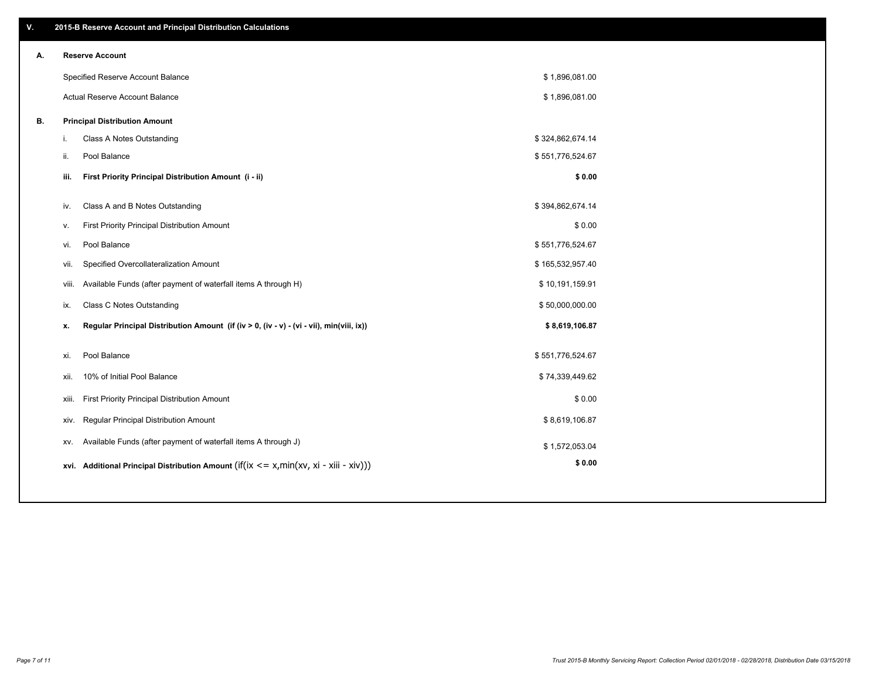| ۷. |      | 2015-B Reserve Account and Principal Distribution Calculations                             |                  |  |
|----|------|--------------------------------------------------------------------------------------------|------------------|--|
| А. |      | <b>Reserve Account</b>                                                                     |                  |  |
|    |      | Specified Reserve Account Balance                                                          | \$1,896,081.00   |  |
|    |      | <b>Actual Reserve Account Balance</b>                                                      | \$1,896,081.00   |  |
| В. |      | <b>Principal Distribution Amount</b>                                                       |                  |  |
|    | i.   | Class A Notes Outstanding                                                                  | \$324,862,674.14 |  |
|    | ii.  | Pool Balance                                                                               | \$551,776,524.67 |  |
|    |      |                                                                                            |                  |  |
|    | iii. | First Priority Principal Distribution Amount (i - ii)                                      | \$0.00           |  |
|    | iv.  | Class A and B Notes Outstanding                                                            | \$394,862,674.14 |  |
|    | v.   | First Priority Principal Distribution Amount                                               | \$0.00           |  |
|    | vi.  | Pool Balance                                                                               | \$551,776,524.67 |  |
|    | vii. | Specified Overcollateralization Amount                                                     | \$165,532,957.40 |  |
|    |      | Available Funds (after payment of waterfall items A through H)<br>viii.                    | \$10,191,159.91  |  |
|    | ix.  | Class C Notes Outstanding                                                                  | \$50,000,000.00  |  |
|    | x.   | Regular Principal Distribution Amount (if (iv > 0, (iv - v) - (vi - vii), min(viii, ix))   | \$8,619,106.87   |  |
|    | xi.  | Pool Balance                                                                               | \$551,776,524.67 |  |
|    | xii. | 10% of Initial Pool Balance                                                                | \$74,339,449.62  |  |
|    |      |                                                                                            |                  |  |
|    |      | First Priority Principal Distribution Amount<br>xiii.                                      | \$0.00           |  |
|    |      | Regular Principal Distribution Amount<br>xiv.                                              | \$8,619,106.87   |  |
|    | XV.  | Available Funds (after payment of waterfall items A through J)                             | \$1,572,053.04   |  |
|    |      | xvi. Additional Principal Distribution Amount (if(ix $\lt$ = x, min(xv, xi - xiii - xiv))) | \$0.00           |  |
|    |      |                                                                                            |                  |  |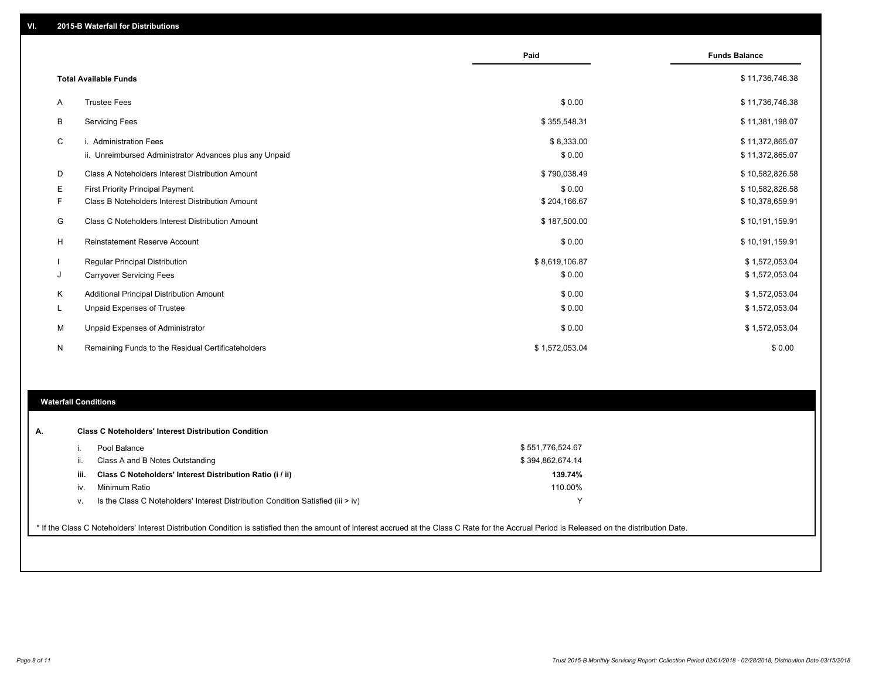|    |                                                         | Paid           | <b>Funds Balance</b> |
|----|---------------------------------------------------------|----------------|----------------------|
|    |                                                         |                |                      |
|    | <b>Total Available Funds</b>                            |                | \$11,736,746.38      |
| Α  | <b>Trustee Fees</b>                                     | \$0.00         | \$11,736,746.38      |
| B  | <b>Servicing Fees</b>                                   | \$355,548.31   | \$11,381,198.07      |
| C  | i. Administration Fees                                  | \$8,333.00     | \$11,372,865.07      |
|    | ii. Unreimbursed Administrator Advances plus any Unpaid | \$0.00         | \$11,372,865.07      |
| D  | Class A Noteholders Interest Distribution Amount        | \$790,038.49   | \$10,582,826.58      |
| Е  | <b>First Priority Principal Payment</b>                 | \$0.00         | \$10,582,826.58      |
|    | Class B Noteholders Interest Distribution Amount        | \$204,166.67   | \$10,378,659.91      |
| G  | Class C Noteholders Interest Distribution Amount        | \$187,500.00   | \$10,191,159.91      |
| H  | <b>Reinstatement Reserve Account</b>                    | \$0.00         | \$10,191,159.91      |
|    | Regular Principal Distribution                          | \$8,619,106.87 | \$1,572,053.04       |
| J  | <b>Carryover Servicing Fees</b>                         | \$0.00         | \$1,572,053.04       |
| K  | Additional Principal Distribution Amount                | \$0.00         | \$1,572,053.04       |
| L. | <b>Unpaid Expenses of Trustee</b>                       | \$0.00         | \$1,572,053.04       |
| м  | Unpaid Expenses of Administrator                        | \$0.00         | \$1,572,053.04       |
| N  | Remaining Funds to the Residual Certificateholders      | \$1,572,053.04 | \$0.00               |
|    |                                                         |                |                      |

#### **Waterfall Conditions**

|      | <b>Class C Noteholders' Interest Distribution Condition</b>                                                                                                                                     |                  |  |
|------|-------------------------------------------------------------------------------------------------------------------------------------------------------------------------------------------------|------------------|--|
|      | Pool Balance                                                                                                                                                                                    | \$551,776,524.67 |  |
|      | Class A and B Notes Outstanding                                                                                                                                                                 | \$394,862,674.14 |  |
| iii. | Class C Noteholders' Interest Distribution Ratio (i / ii)                                                                                                                                       | 139.74%          |  |
| iv.  | Minimum Ratio                                                                                                                                                                                   | 110.00%          |  |
| v.   | Is the Class C Noteholders' Interest Distribution Condition Satisfied (iii > iv)                                                                                                                |                  |  |
|      |                                                                                                                                                                                                 |                  |  |
|      | * If the Class C Noteholders' Interest Distribution Condition is satisfied then the amount of interest accrued at the Class C Rate for the Accrual Period is Released on the distribution Date. |                  |  |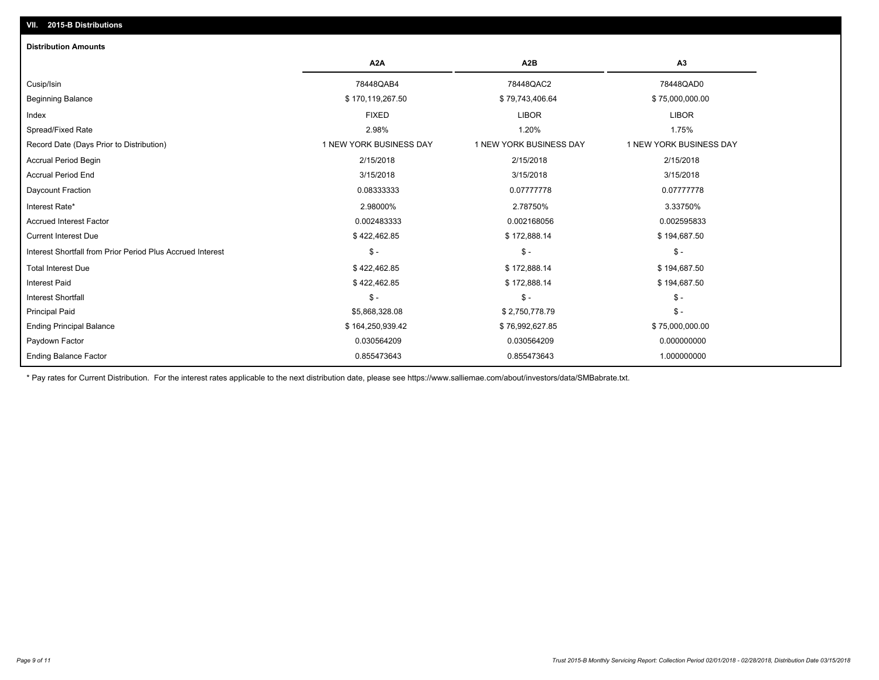### **VII. 2015-B Distributions**

| <b>Distribution Amounts</b>                                |                         |                         |                         |
|------------------------------------------------------------|-------------------------|-------------------------|-------------------------|
|                                                            | A <sub>2</sub> A        | A <sub>2</sub> B        | A <sub>3</sub>          |
| Cusip/Isin                                                 | 78448QAB4               | 78448QAC2               | 78448QAD0               |
| <b>Beginning Balance</b>                                   | \$170,119,267.50        | \$79,743,406.64         | \$75,000,000.00         |
| Index                                                      | <b>FIXED</b>            | <b>LIBOR</b>            | <b>LIBOR</b>            |
| Spread/Fixed Rate                                          | 2.98%                   | 1.20%                   | 1.75%                   |
| Record Date (Days Prior to Distribution)                   | 1 NEW YORK BUSINESS DAY | 1 NEW YORK BUSINESS DAY | 1 NEW YORK BUSINESS DAY |
| Accrual Period Begin                                       | 2/15/2018               | 2/15/2018               | 2/15/2018               |
| <b>Accrual Period End</b>                                  | 3/15/2018               | 3/15/2018               | 3/15/2018               |
| Daycount Fraction                                          | 0.08333333              | 0.07777778              | 0.07777778              |
| Interest Rate*                                             | 2.98000%                | 2.78750%                | 3.33750%                |
| <b>Accrued Interest Factor</b>                             | 0.002483333             | 0.002168056             | 0.002595833             |
| <b>Current Interest Due</b>                                | \$422,462.85            | \$172,888.14            | \$194,687.50            |
| Interest Shortfall from Prior Period Plus Accrued Interest | $\mathsf{\$}$ -         | $\mathsf{\$}$ -         | $\mathsf{\$}$ -         |
| <b>Total Interest Due</b>                                  | \$422,462.85            | \$172,888.14            | \$194,687.50            |
| <b>Interest Paid</b>                                       | \$422,462.85            | \$172,888.14            | \$194,687.50            |
| <b>Interest Shortfall</b>                                  | $\mathsf{\$}$ -         | $\mathsf{\$}$ -         | $\mathsf{\$}$ -         |
| <b>Principal Paid</b>                                      | \$5,868,328.08          | \$2,750,778.79          | $$ -$                   |
| <b>Ending Principal Balance</b>                            | \$164,250,939.42        | \$76,992,627.85         | \$75,000,000.00         |
| Paydown Factor                                             | 0.030564209             | 0.030564209             | 0.000000000             |
| <b>Ending Balance Factor</b>                               | 0.855473643             | 0.855473643             | 1.000000000             |

\* Pay rates for Current Distribution. For the interest rates applicable to the next distribution date, please see https://www.salliemae.com/about/investors/data/SMBabrate.txt.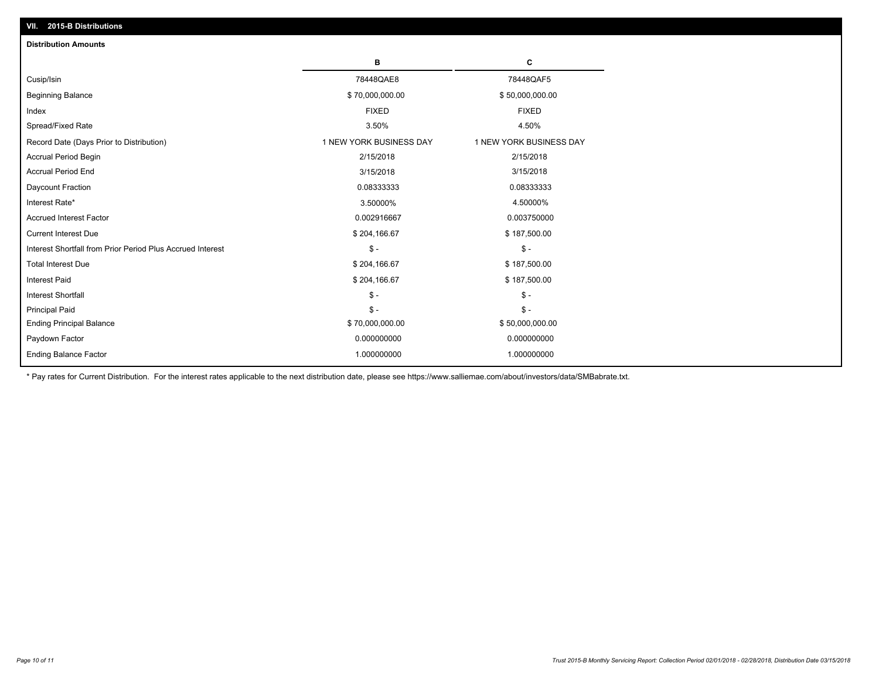| <b>Distribution Amounts</b>                                |                         |                         |
|------------------------------------------------------------|-------------------------|-------------------------|
|                                                            | в                       | c                       |
| Cusip/Isin                                                 | 78448QAE8               | 78448QAF5               |
| <b>Beginning Balance</b>                                   | \$70,000,000.00         | \$50,000,000.00         |
| Index                                                      | <b>FIXED</b>            | <b>FIXED</b>            |
| Spread/Fixed Rate                                          | 3.50%                   | 4.50%                   |
| Record Date (Days Prior to Distribution)                   | 1 NEW YORK BUSINESS DAY | 1 NEW YORK BUSINESS DAY |
| <b>Accrual Period Begin</b>                                | 2/15/2018               | 2/15/2018               |
| <b>Accrual Period End</b>                                  | 3/15/2018               | 3/15/2018               |
| Daycount Fraction                                          | 0.08333333              | 0.08333333              |
| Interest Rate*                                             | 3.50000%                | 4.50000%                |
| <b>Accrued Interest Factor</b>                             | 0.002916667             | 0.003750000             |
| <b>Current Interest Due</b>                                | \$204,166.67            | \$187,500.00            |
| Interest Shortfall from Prior Period Plus Accrued Interest | $\mathcal{S}$ -         | $\mathcal{S}$ -         |
| <b>Total Interest Due</b>                                  | \$204,166.67            | \$187,500.00            |
| <b>Interest Paid</b>                                       | \$204,166.67            | \$187,500.00            |
| <b>Interest Shortfall</b>                                  | $\mathcal{S}$ -         | $\mathsf{\$}$ -         |
| <b>Principal Paid</b>                                      | $\mathsf{\$}$ -         | $\mathsf{\$}$ -         |
| <b>Ending Principal Balance</b>                            | \$70,000,000.00         | \$50,000,000.00         |
| Paydown Factor                                             | 0.000000000             | 0.000000000             |
| <b>Ending Balance Factor</b>                               | 1.000000000             | 1.000000000             |

\* Pay rates for Current Distribution. For the interest rates applicable to the next distribution date, please see https://www.salliemae.com/about/investors/data/SMBabrate.txt.

**VII. 2015-B Distributions**